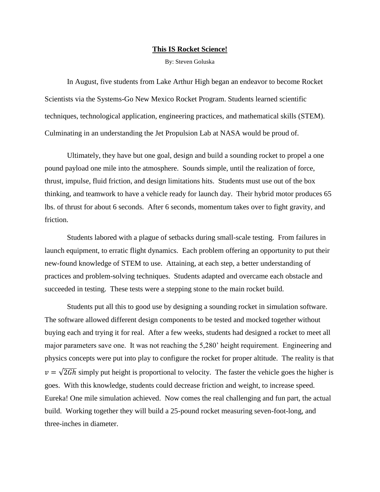## **This IS Rocket Science!**

By: Steven Goluska

In August, five students from Lake Arthur High began an endeavor to become Rocket Scientists via the Systems-Go New Mexico Rocket Program. Students learned scientific techniques, technological application, engineering practices, and mathematical skills (STEM). Culminating in an understanding the Jet Propulsion Lab at NASA would be proud of.

Ultimately, they have but one goal, design and build a sounding rocket to propel a one pound payload one mile into the atmosphere. Sounds simple, until the realization of force, thrust, impulse, fluid friction, and design limitations hits. Students must use out of the box thinking, and teamwork to have a vehicle ready for launch day. Their hybrid motor produces 65 lbs. of thrust for about 6 seconds. After 6 seconds, momentum takes over to fight gravity, and friction.

Students labored with a plague of setbacks during small-scale testing. From failures in launch equipment, to erratic flight dynamics. Each problem offering an opportunity to put their new-found knowledge of STEM to use. Attaining, at each step, a better understanding of practices and problem-solving techniques. Students adapted and overcame each obstacle and succeeded in testing. These tests were a stepping stone to the main rocket build.

Students put all this to good use by designing a sounding rocket in simulation software. The software allowed different design components to be tested and mocked together without buying each and trying it for real. After a few weeks, students had designed a rocket to meet all major parameters save one. It was not reaching the 5,280' height requirement. Engineering and physics concepts were put into play to configure the rocket for proper altitude. The reality is that  $v = \sqrt{2Gh}$  simply put height is proportional to velocity. The faster the vehicle goes the higher is goes. With this knowledge, students could decrease friction and weight, to increase speed. Eureka! One mile simulation achieved. Now comes the real challenging and fun part, the actual build. Working together they will build a 25-pound rocket measuring seven-foot-long, and three-inches in diameter.